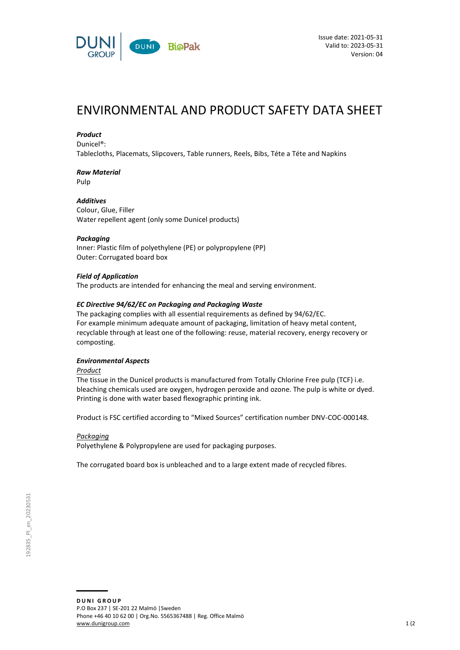

# ENVIRONMENTAL AND PRODUCT SAFETY DATA SHEET

### *Product*

Dunicel®:

Tablecloths, Placemats, Slipcovers, Table runners, Reels, Bibs, Téte a Téte and Napkins

# *Raw Material*

Pulp

## *Additives*

Colour, Glue, Filler Water repellent agent (only some Dunicel products)

### *Packaging*

Inner: Plastic film of polyethylene (PE) or polypropylene (PP) Outer: Corrugated board box

### *Field of Application*

The products are intended for enhancing the meal and serving environment.

### *EC Directive 94/62/EC on Packaging and Packaging Waste*

The packaging complies with all essential requirements as defined by 94/62/EC. For example minimum adequate amount of packaging, limitation of heavy metal content, recyclable through at least one of the following: reuse, material recovery, energy recovery or composting.

### *Environmental Aspects*

*Product*

The tissue in the Dunicel products is manufactured from Totally Chlorine Free pulp (TCF) i.e. bleaching chemicals used are oxygen, hydrogen peroxide and ozone. The pulp is white or dyed. Printing is done with water based flexographic printing ink.

Product is FSC certified according to "Mixed Sources" certification number DNV-COC-000148.

### *Packaging*

Polyethylene & Polypropylene are used for packaging purposes.

The corrugated board box is unbleached and to a large extent made of recycled fibres.